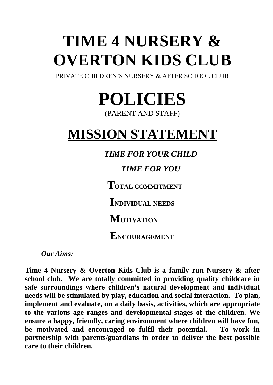# **TIME 4 NURSERY & OVERTON KIDS CLUB**

PRIVATE CHILDREN'S NURSERY & AFTER SCHOOL CLUB

**POLICIES**

(PARENT AND STAFF)

# **MISSION STATEMENT**

*TIME FOR YOUR CHILD*

*TIME FOR YOU*

**TOTAL COMMITMENT**

**INDIVIDUAL NEEDS**

**MOTIVATION**

**ENCOURAGEMENT**

*Our Aims:*

**Time 4 Nursery & Overton Kids Club is a family run Nursery & after school club. We are totally committed in providing quality childcare in safe surroundings where children's natural development and individual needs will be stimulated by play, education and social interaction. To plan, implement and evaluate, on a daily basis, activities, which are appropriate to the various age ranges and developmental stages of the children. We ensure a happy, friendly, caring environment where children will have fun, be motivated and encouraged to fulfil their potential. To work in partnership with parents/guardians in order to deliver the best possible care to their children.**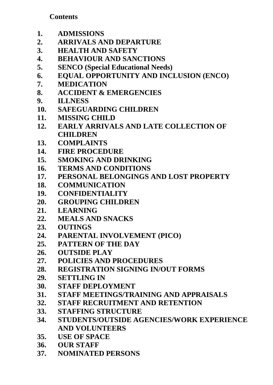## **Contents**

- **1. ADMISSIONS**
- **2. ARRIVALS AND DEPARTURE**
- **3. HEALTH AND SAFETY**
- **4. BEHAVIOUR AND SANCTIONS**
- **5. SENCO (Special Educational Needs)**
- **6. EQUAL OPPORTUNITY AND INCLUSION (ENCO)**
- **7. MEDICATION**
- **8. ACCIDENT & EMERGENCIES**
- **9. ILLNESS**
- **10. SAFEGUARDING CHILDREN**
- **11. MISSING CHILD**
- **12. EARLY ARRIVALS AND LATE COLLECTION OF CHILDREN**
- **13. COMPLAINTS**
- **14. FIRE PROCEDURE**
- **15. SMOKING AND DRINKING**
- **16. TERMS AND CONDITIONS**
- **17. PERSONAL BELONGINGS AND LOST PROPERTY**
- **18. COMMUNICATION**
- **19. CONFIDENTIALITY**
- **20. GROUPING CHILDREN**
- **21. LEARNING**
- **22. MEALS AND SNACKS**
- **23. OUTINGS**
- **24. PARENTAL INVOLVEMENT (PICO)**
- **25. PATTERN OF THE DAY**
- **26. OUTSIDE PLAY**
- **27. POLICIES AND PROCEDURES**
- **28. REGISTRATION SIGNING IN/OUT FORMS**
- **29. SETTLING IN**
- **30. STAFF DEPLOYMENT**
- **31. STAFF MEETINGS/TRAINING AND APPRAISALS**
- **32. STAFF RECRUITMENT AND RETENTION**
- **33. STAFFING STRUCTURE**
- **34. STUDENTS/OUTSIDE AGENCIES/WORK EXPERIENCE AND VOLUNTEERS**
- **35. USE OF SPACE**
- **36. OUR STAFF**
- **37. NOMINATED PERSONS**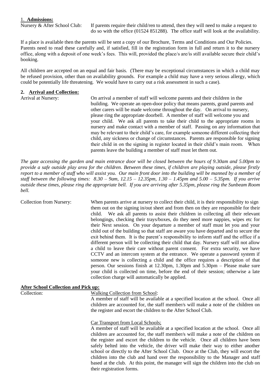#### 1. **Admissions:**

Nursery & After School Club: If parents require their child/ren to attend, then they will need to make a request to do so with the office (01524 851288). The office staff will look at the availability.

If a place is available then the parents will be sent a copy of our Brochure, Terms and Conditions and Our Policies. Parents need to read these carefully and, if satisfied, fill in the registration form in full and return it to the nursery office, along with a deposit of one week's fees. This will, provided the place/s are/is still available secure their child's booking.

All children are accepted on an equal and fair basis. (There may be exceptional circumstances in which a child may be refused provision, other than on availability grounds. For example a child may have a very serious allergy, which could be potentially life threatening. We would have to carry out a risk assessment in such a case).

#### **2. Arrival and Collection:**

Arrival at Nursery: On arrival a member of staff will welcome parents and their children in the building. We operate an open-door policy that means parents, grand parents and other carers will be made welcome throughout the day. On arrival to nursery, please ring the appropriate doorbell. A member of staff will welcome you and your child. We ask all parents to take their child to the appropriate rooms in nursery and make contact with a member of staff. Passing on any information that may be relevant to their child's care, for example someone different collecting their child, any sickness or change of circumstances. Parents are responsible for signing their child in on the signing in register located in their child's main room. When parents leave the building a member of staff must let them out.

*The gate accessing the garden and main entrance door will be closed between the hours of 9.30am and 5.00pm to provide a safe outside play area for the children. Between these times, if children are playing outside, please firstly report to a member of staff who will assist you. Our main front door into the building will be manned by a member of staff between the following times: 8.30 – 9am, 12.15 – 12.35pm, 1.30 – 1.45pm and 5.00 – 5.35pm. If you arrive outside these times, please ring the appropriate bell. If you are arriving after 5.35pm, please ring the Sunbeam Room bell.* 

Collection from Nursery: When parents arrive at nursery to collect their child, it is their responsibility to sign them out on the signing in/out sheet and from then on they are responsible for their child. We ask all parents to assist their children in collecting all their relevant belongings, checking their trays/boxes, do they need more nappies, wipes etc for their Next session. On your departure a member of staff must let you and your child out of the building so that staff are aware you have departed and to secure the exit behind them. It is the parent's responsibility to inform staff and the office if a different person will be collecting their child that day. Nursery staff will not allow a child to leave their care without parent consent. For extra security, we have CCTV and an intercom system at the entrance. We operate a password system if someone new is collecting a child and the office requires a description of that person. Our sessions finish at 12.30pm, 1.30pm and 5.30pm – Please make sure your child is collected on time, before the end of their session; otherwise a late collection charge will automatically be applied. **After School Collection and Pick up:**

| Arter School Conection and Fick up. |                                                                                     |  |  |
|-------------------------------------|-------------------------------------------------------------------------------------|--|--|
| Collection:                         | Walking Collection from School:                                                     |  |  |
|                                     | A member of staff will be available at a specified location at the school. Once all |  |  |
|                                     | children are accounted for, the staff member/s will make a note of the children on  |  |  |
|                                     | the register and escort the children to the After School Club.                      |  |  |
|                                     | Car Transport from Local Schools;                                                   |  |  |
|                                     | A member of staff will be available at a specified location at the school. Once all |  |  |
|                                     | children are accounted for, the staff member/s will make a note of the children on  |  |  |
|                                     | the register and escort the children to the vehicle. Once all children have been    |  |  |
|                                     | safely belted into the vehicle, the driver will make their way to either another    |  |  |
|                                     | school or directly to the After School Club. Once at the Club, they will escort the |  |  |
|                                     | children into the club and hand over the responsibility to the Manager and staff    |  |  |

their registration forms.

based at the club. At this point, the manager will sign the children into the club on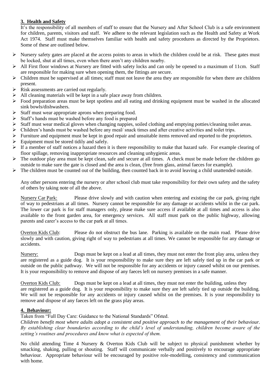#### **3. Health and Safety**

It's the responsibility of all members of staff to ensure that the Nursery and After School Club is a safe environment for children, parents, visitors and staff. We adhere to the relevant legislation such as the Health and Safety at Work Act 1974. Staff must make themselves familiar with health and safety procedures as directed by the Proprietors. Some of these are outlined below.

- $\triangleright$  Nursery safety gates are placed at the access points to areas in which the children could be at risk. These gates must be locked, shut at all times, even when there aren't any children nearby.
- $\triangleright$  All First floor windows at Nursery are fitted with safety locks and can only be opened to a maximum of 11cm. Staff are responsible for making sure when opening them, the fittings are secure.
- $\triangleright$  Children must be supervised at all times; staff must not leave the area they are responsible for when there are children present.
- $\triangleright$  Risk assessments are carried out regularly.
- ➢ All cleaning materials will be kept in a safe place away from children.
- $\triangleright$  Food preparation areas must be kept spotless and all eating and drinking equipment must be washed in the allocated sink bowls/dishwashers.
- ➢ Staff must wear appropriate aprons when preparing food.
- ➢ Staff's hands must be washed before any food is prepared
- $\triangleright$  Staff must wear medical gloves when changing nappies, soiled clothing and emptying potties/cleaning toilet areas.
- ➢ Children's hands must be washed before any meal/ snack times and after creative activities and toilet trips.
- $\triangleright$  Furniture and equipment must be kept in good repair and unsuitable items removed and reported to the proprietors.
- $\triangleright$  Equipment must be stored tidily and safely.
- $\triangleright$  If a member of staff notices a hazard then it is there responsibility to make that hazard safe. For example clearing of floor spillage, removing inappropriate resources and cleaning unhygienic areas.
- $\triangleright$  The outdoor play area must be kept clean, safe and secure at all times. A check must be made before the children go outside to make sure the gate is closed and the area is clean, (free from glass, animal faeces for example).
- $\triangleright$  The children must be counted out of the building, then counted back in to avoid leaving a child unattended outside.

Any other persons entering the nursery or after school club must take responsibility for their own safety and the safety of others by taking note of all the above.

Nursery Car Park: Please drive slowly and with caution when entering and existing the car park, giving right of way to pedestrians at all times. Nursery cannot be responsible for any damage or accidents whilst in the car park. The lower car park is for staff managers only, please make sure access if available at all times and access is also available to the front garden area, for emergency services. All staff must park on the public highway, allowing parents and carer's access to the car park at all times.

Overton Kids Club: Please do not obstruct the bus lane. Parking is available on the main road. Please drive slowly and with caution, giving right of way to pedestrians at all times. We cannot be responsible for any damage or accidents.

Nursery: Dogs must be kept on a lead at all times, they must not enter the front play area, unless they are registered as a guide dog. It is your responsibility to make sure they are left safely tied up in the car park or outside on the public pathway. We will not be responsible for any accidents or injury caused whilst on our premises. It is your responsibility to remove and dispose of any faeces left on nursery premises in a safe manner.

Overton Kids Club: Dogs must be kept on a lead at all times, they must not enter the building, unless they are registered as a guide dog. It is your responsibility to make sure they are left safely tied up outside the building. We will not be responsible for any accidents or injury caused whilst on the premises. It is your responsibility to remove and dispose of any faeces left on the grass play areas.

#### **4. Behaviour:**

Taken from "Full Day Care: Guidance to the National Standards" Ofsted.

*Children benefit most where adults adopt a consistent and positive approach to the management of their behaviour. By establishing clear boundaries according to the child's level of understanding, children become aware of the setting's routines and procedures and know what is expected of them.*

No child attending Time 4 Nursery & Overton Kids Club will be subject to physical punishment whether by smacking, shaking, pulling or shouting. Staff will communicate verbally and positively to encourage appropriate behaviour. Appropriate behaviour will be encouraged by positive role-modelling, consistency and communication with home.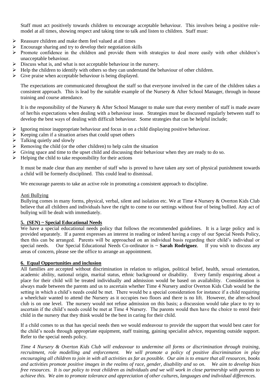Staff must act positively towards children to encourage acceptable behaviour. This involves being a positive rolemodel at all times, showing respect and taking time to talk and listen to children. Staff must:

- ➢ Reassure children and make them feel valued at all times
- $\triangleright$  Encourage sharing and try to develop their negotiation skills
- ➢ Promote confidence in the children and provide them with strategies to deal more easily with other children's unacceptable behaviour.
- $\triangleright$  Discuss what is, and what is not acceptable behaviour in the nursery.
- ➢ Help the children to identify with others so they can understand the behaviour of other children.
- $\triangleright$  Give praise when acceptable behaviour is being displayed.

The expectations are communicated throughout the staff so that everyone involved in the care of the children takes a consistent approach. This is lead by the suitable example of the Nursery & After School Manager, through in-house training and course attendance.

It is the responsibility of the Nursery & After School Manager to make sure that every member of staff is made aware of her/his expectations when dealing with a behaviour issue. Strategies must be discussed regularly between staff to develop the best ways of dealing with difficult behaviour. Some strategies that can be helpful include;

- ➢ Ignoring minor inappropriate behaviour and focus in on a child displaying positive behaviour.
- $\triangleright$  Keeping calm if a situation arises that could upset others
- $\triangleright$  Talking quietly and slowly
- $\triangleright$  Removing the child (or the other children) to help calm the situation
- ➢ Giving space and time to the upset child and discussing their behaviour when they are ready to do so.
- $\triangleright$  Helping the child to take responsibility for their actions

It must be made clear than any member of staff who is proved to have taken any sort of physical punishment towards a child will be formerly disciplined. This could lead to dismissal.

We encourage parents to take an active role in promoting a consistent approach to discipline.

#### Anti Bullying

Bullying comes in many forms, physical, verbal, silent and isolation etc. We at Time 4 Nursery & Overton Kids Club believe that all children and individuals have the right to come to our settings without fear of being bullied. Any act of bullying will be dealt with immediately.

#### **5. (SEN) ~ Special Educational Needs**

We have a special educational needs policy that follows the recommended guidelines. It is a large policy and is provided separately. If a parent expresses an interest in reading or indeed having a copy of our Special Needs Policy, then this can be arranged. Parents will be approached on an individual basis regarding their child's individual or special needs. Our Special Educational Needs Co-ordinator is ~ **Sarah Rodriguez**. If you wish to discuss any areas of concern, please see the office to arrange an appointment.

#### **6. Equal Opportunities and inclusion**

All families are accepted without discrimination in relation to religion, political belief, health, sexual orientation, academic ability, national origin, marital status, ethnic background or disability. Every family enquiring about a place for their child will be treated individually and admission would be based on availability. Consideration is always made between the parents and us to ascertain whether Time 4 Nursery and/or Overton Kids Club would be the setting in which a child's needs could be met. There would be a special consideration for instance if a child requiring a wheelchair wanted to attend the Nursery as it occupies two floors and there is no lift. However, the after-school club is on one level. The nursery would not refuse admission on this basis; a discussion would take place to try to ascertain if the child's needs could be met at Time 4 Nursery. The parents would then have the choice to enrol their child in the nursery that they think would be the best in caring for their child.

If a child comes to us that has special needs then we would endeavour to provide the support that would best cater for the child's needs through appropriate equipment, staff training, gaining specialist advice, requesting outside support. Refer to the special needs policy.

*Time 4 Nursery & Overton Kids Club will endeavour to undermine all forms or discrimination through training, recruitment, role modelling and enforcement. We will promote a policy of positive discrimination in play encouraging all children to join in with all activities as far as possible. Our aim is to ensure that all resources, books and activities promote positive images in the realms of race, gender, disability and so on. We aim to develop bias free resources. It is our policy to treat children as individuals and we will work in close partnership with parents to achieve this. We aim to promote tolerance and appreciation of other cultures, languages and individual differences.*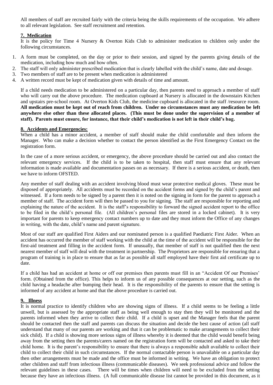All members of staff are recruited fairly with the criteria being the skills requirements of the occupation. We adhere to all relevant legislation. See staff recruitment and retention.

#### **7. Medication**

It is the policy for Time 4 Nursery & Overton Kids Club to administer medication to children only under the following circumstances.

- 1. A form must be completed, on the day or prior to their session, and signed by the parents giving details of the medication, including how much and how often.
- 2. The staff will only administer prescribed medication that is clearly labelled with the child's name, date and dosage.<br>3. Two members of staff are to be present when medication is administered
- Two members of staff are to be present when medication is administered
- 4. A written record must be kept of medication given with details of time and amount.

If a child needs medication to be administered on a particular day, then parents need to approach a member of staff who will carry out the above procedure. The medication cupboard at Nursery is allocated in the downstairs Kitchen and upstairs pre-school room. At Overton Kids Club, the medicine cupboard is allocated in the staff /resource room. **All medication must be kept out of reach from children. Under no circumstances must any medication be left anywhere else other than these allocated places. (This must be done under the supervision of a member of staff). Parents must ensure, for instance, that their child's medication is not left in their child's bag.**

#### **8. Accidents and Emergencies:**

When a child has a minor accident, a member of staff should make the child comfortable and then inform the Manager. Who can make a decision whether to contact the person identified as the First Emergency Contact on the registration form.

In the case of a more serious accident, or emergency, the above procedure should be carried out and also contact the relevant emergency services. If the child is to be taken to hospital, then staff must ensure that any relevant information is made available and documentation passes on as necessary. If there is a serious accident, or death, then we have to inform OFSTED.

Any member of staff dealing with an accident involving blood must wear protective medical gloves. These must be disposed of appropriately. All accidents must be recorded on the accident forms and signed by the child's parent and witnessed. If a form needs to be signed by a parent then it is noted on the signing in form for the parent to approach a member of staff. The accident form will then be passed to you for signing. The staff are responsible for reporting and explaining the nature of the accident. It is the staff's responsibility to forward the signed accident report to the office to be filed in the child's personal file. (All children's personal files are stored in a locked cabinet). It is very important for parents to keep emergency contact numbers up to date and they must inform the Office of any changes in writing, with the date, child's name and parent signature.

Most of our staff are qualified First Aiders and our nominated person is a qualified Paediatric First Aider. When an accident has occurred the member of staff working with the child at the time of the accident will be responsible for the first-aid treatment and filling in the accident form. If unusually, that member of staff is not qualified then the next nearest member of staff will deal with the treatment in partnership. The Proprietors are responsible for ensuring that a program of training is in place to ensure that as far as possible all staff employed have their first aid certificate up to date.

If a child has had an accident at home or off our premises then parents must fill in an "Accident Of our Premises' form. (Obtained from the office). This helps to inform us of any possible consequences at our setting, such as the child having a headache after bumping their head. It is the responsibility of the parents to ensure that the setting is informed of any accident at home and that the above procedure is carried out.

#### **9. Illness**

It is normal practice to identify children who are showing signs of illness. If a child seems to be feeling a little unwell, but is assessed by the appropriate staff as being well enough to stay then they will be monitored and the parents informed when they arrive to collect their child. If a child is upset and the Manager feels that the parent should be contacted then the staff and parents can discuss the situation and decide the best cause of action (all staff understand that many of our parents are working and that it can be problematic to make arrangements to collect their sick child). If a child is showing more serious signs of illness whereby it is deemed that the child would benefit being away from the setting then the parents/carers named on the registration form will be contacted and asked to take their child home. It is the parent's responsibility to ensure that there is always a responsible adult available to collect their child to collect their child in such circumstances. If the normal contactable person is unavailable on a particular day then other arrangements must be made and the office must be informed in writing. We have an obligation to protect other children and staff from infectious illness (communicable diseases). We seek professional advice and follow the relevant guidelines in these cases. There will be times when children will need to be excluded from the setting because they have an infectious illness. (A full communicable disease list cannot be provided in this document, as it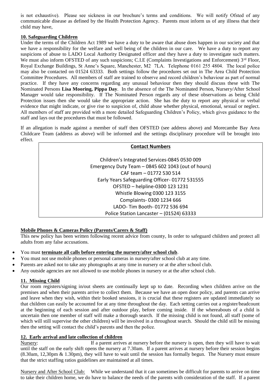is not exhaustive). Please see sickness in our brochure's terms and conditions. We will notify Ofsted of any communicable disease as defined by the Health Protection Agency. Parents must inform us of any illness that their child may have,

#### **10. Safeguarding Children**

Under the terms of the Children Act 1989 we have a duty to be aware that abuse does happen in our society and that we have a responsibility for the welfare and well being of the children in our care. We have a duty to report any suspicions of abuse to LADO Local Authority Designated officer and they have a duty to investigate such matters. We must also inform OFSTED of any such suspicions; C.I.E (Complaints Investigations and Enforcement)  $3^{rd}$  Floor, Royal Exchange Buildings, St Anne's Square, Manchester, M2 7LA. Telephone 0161 255 4804. The local police may also be contacted on 01524 63333. Both settings follow the procedures set out in The Area Child Protection Committee Procedures. All members of staff are trained to observe and record children's behaviour as part of normal practice. If they have any concerns regarding any unusual behaviour then they should discuss these with The Nominated Persons **Lisa Mooring, Pippa Day**. In the absence of the The Nominated Person, Nursery/After School Manager would take responsibility. If The Nominated Person regards any of these observations as being Child Protection issues then she would take the appropriate action. She has the duty to report any physical or verbal evidence that might indicate, or give rise to suspicion of, child abuse whether physical, emotional, sexual or neglect. All members of staff are provided with a more detailed Safeguarding Children's Policy, which gives guidance to the staff and lays out the procedures that must be followed.

If an allegation is made against a member of staff then OFSTED (see address above) and Morecambe Bay Area Childcare Team (address as above) will be informed and the settings disciplinary procedure will be brought into effect.

### **Contact Numbers** Children's Integrated Services-0845 0530 009 Emergency Duty Team – 0845 602 1043 (out of hours) CAF team – 01772 530 514 Early Years Safeguarding Officer- 01772 531555 OFSTED – helpline-0300 123 1231 Whistle Blowing 0300 123 3155 Complaints- 0300 1234 666 LADO- Tim Booth- 01772 536 694 Police Station Lancaster – (01524) 63333

#### **Mobile Phones & Cameras Policy (Parents/Carers & Staff)**

This new policy has been written following recent advice from county, In order to safeguard children and protect all adults from any false accusations.

- You must **terminate all calls before entering the nursery/after school club**.
- You must not use mobile phones or personal cameras in nursery/after school club at any time.
- Parents are asked not to take any photographs at any time in nursery or at the after school club.
- Any outside agencies are not allowed to use mobile phones in nursery or at the after school club.

#### **11. Missing Child**

Our room registers/signing in/out sheets are continually kept up to date. Recording when children arrive on the premises and when their parents arrive to collect them. Because we have an open door policy, and parents can arrive and leave when they wish, within their booked sessions, it is crucial that these registers are updated immediately so that children can easily be accounted for at any time throughout the day. Each setting carries out a register/headcount at the beginning of each session and after outdoor play, before coming inside. If the whereabouts of a child is uncertain then one member of staff will make a thorough search. If the missing child is not found, all staff (some of which will still supervise the other children) will be involved in a throughout search. Should the child still be missing then the setting will contact the child's parents and then the police.

#### **12. Early arrival and late collection of children**

Nursery: If a parent arrives at nursery before the nursery is open, then they will have to wait until the staff on the early shift opens the nursery at 7.30am. If a parent arrives at nursery before their session begins (8.30am, 12,30pm & 1.30pm), they will have to wait until the session has formally begun. The Nursery must ensure that the strict staffing ratios guidelines are maintained at all times.

Nursery and After School Club: While we understand that it can sometimes be difficult for parents to arrive on time to take their children home, we do have to balance the needs of the parents with consideration of the staff. If a parent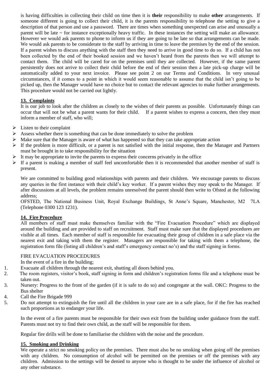is having difficulties in collecting their child on time then it is **their** responsibility to make **other** arrangements. If someone different is going to collect their child, it is the parents responsibility to telephone the setting to give a description of that person and use a password. There are times when something unexpected can arise and unusually a parent will be late  $\sim$  for instance exceptionally heavy traffic. In these instances the setting will make an allowance. However we would ask parents to phone to inform us if they are going to be late so that arrangements can be made. We would ask parents to be considerate to the staff by arriving in time to leave the premises by the end of the session. If a parent wishes to discuss anything with the staff then they need to arrive in good time to do so. If a child has not been collected by the end of their booked session and we haven't heard from the parents then we will attempt to contact them. The child will be cared for on the premises until they are collected. However, if the same parent persistently does not arrive to collect their child before the end of their session then a late pick-up charge will be automatically added to your next invoice. Please see point 2 on our Terms and Conditions. In very unusual circumstances, if it comes to a point in which it would seem reasonable to assume that the child isn't going to be picked up, then the Manager would have no choice but to contact the relevant agencies to make further arrangements. This procedure would not be carried out lightly.

#### **13. Complaints**

It is our job to look after the children as closely to the wishes of their parents as possible. Unfortunately things can occur that will not be what a parent wants for their child. If a parent wishes to express a concern, then they must inform a member of staff, who will;

- $\triangleright$  Listen to their complaint
- $\triangleright$  Assess whether there is something that can be done immediately to solve the problem
- $\triangleright$  Make sure that the Manager is aware of what has happened so that they can take appropriate action
- $\triangleright$  If the problem is more difficult, or a parent is not satisfied with the initial response, then the Manager and Partners must be brought in to take responsibility for the situation
- $\triangleright$  It may be appropriate to invite the parents to express their concerns privately in the office
- ➢ If a parent is making a member of staff feel uncomfortable then it is recommended that another member of staff is present.

We are committed to building good relationships with parents and their children. We encourage parents to discuss any queries in the first instance with their child's key worker. If a parent wishes they may speak to the Manager. If after discussions at all levels, the problem remains unresolved the parent should then write to Ofsted at the following address;

OFSTED, The National Business Unit, Royal Exchange Buildings, St Anne's Square, Manchester, M2 7LA (Telephone 0300 123 1231).

#### **14. Fire Procedure**

All members of staff must make themselves familiar with the "Fire Evacuation Procedure" which are displayed around the building and are provided to staff on recruitment. Staff must make sure that the displayed procedures are visible at all times. Each member of staff is responsible for evacuating their group of children in a safe place via the nearest exit and taking with them the register. Managers are responsible for taking with them a telephone, the registration form file (listing all children's and staff's emergency contact no's) and the staff signing in forms.

#### FIRE EVACUATION PROCEDURES

In the event of a fire in the building;

1. Evacuate all children through the nearest exit, shutting all doors behind you.

- 2. The room registers, visitor's book, staff signing in form and children's registration forms file and a telephone must be taken out.
- 3. Nursery: Progress to the front of the garden (if it is safe to do so) and congregate at the wall. OKC: Progress to the Bus shelter
- 4. Call the Fire Brigade 999
- 5. Do not attempt to extinguish the fire until all the children in your care are in a safe place, for if the fire has reached such proportions as to endanger your life.

In the event of a fire parents must be responsible for their own exit from the building under guidance from the staff. Parents must not try to find their own child, as the staff will be responsible for them.

Regular fire drills will be done to familiarise the children with the noise and the procedure.

#### **15. Smoking and Drinking**

We operate a strict no smoking policy on the premises. There must also be no smoking when going off the premises with any children. No consumption of alcohol will be permitted on the premises or off the premises with any children. Admission to the settings will be denied to anyone who is thought to be under the influence of alcohol or any other substance.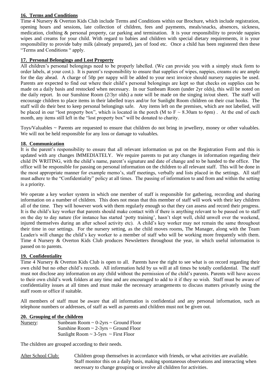#### **16. Terms and Conditions**

Time 4 Nursery & Overton Kids Club include Terms and Conditions within our Brochure, which include registration, opening hours and sessions, late collection of children, fees and payments, meals/snacks, absences, sickness, medication, clothing & personal property, car parking and termination. It is your responsibility to provide nappies wipes and creams for your child. With regard to babies and children with special dietary requirements, it is your responsibility to provide baby milk (already prepared), jars of food etc. Once a child has been registered then these "Terms and Conditions " apply.

#### **17. Personal Belongings and Lost Property**

All children's personal belongings need to be properly labelled. (We can provide you with a simply stuck form to order labels, at your cost.). It is parent's responsibility to ensure that supplies of wipes, nappies, creams etc are ample for the day ahead. A charge of 50p per nappy will be added to your next invoice should nursery nappies be used. Parents are expected to find out where their child's personal belongings are kept so that checks on supplies can be made on a daily basis and restocked when necessary. In our Sunbeam Room (under 2yr olds), this will be noted on the daily report. In our Sunshine Room (2/3yr olds) a note will be made on the singing in/out sheet. The staff will encourage children to place items in their labelled trays and/or for Sunlight Room children on their coat hooks. The staff will do their best to keep personal belongings safe. Any items left on the premises, which are not labelled, will be placed in our "lost property box", which is located in the porch (M to  $F \sim 8.30$ am to 6pm). At the end of each month, any items still left in the "lost property box" will be donated to charity.

Toys/Valuables ~ Parents are requested to ensure that children do not bring in jewellery, money or other valuables. We will not be held responsible for any loss or damage to valuables.

#### **18. Communication**

It is the parent's responsibility to ensure that all relevant information us put on the Registration Form and this is updated with any changes IMMEDIATELY. We require parents to put any changes in information regarding their child IN WRITING, with the child's name, parent's signature and date of change and to be handed to the office. The office will be responsible for passing on personal information on the children to all relevant staff. This will be done in the most appropriate manner for example memo's, staff meetings, verbally and lists placed in the settings. All staff must adhere to the "Confidentiality" policy at all times. The passing of information to and from and within the setting is a priority.

We operate a key worker system in which one member of staff is responsible for gathering, recording and sharing information on a number of children. This does not mean that this member of staff will work with their key children all of the time. They will however work with them regularly enough so that they can assess and record their progress. It is the child's key worker that parents should make contact with if there is anything relevant to be passed on to staff on the day to day nature (for instance has started 'potty training', hasn't slept well, child unwell over the weekend, injured themselves during an after school activity etc). A child's key worker may not remain the same throughout their time in our settings. For the nursery setting, as the child moves rooms, The Manager, along with the Team Leader/s will change the child's key worker to a member of staff who will be working more frequently with them. Time 4 Nursery & Overton Kids Club produces Newsletters throughout the year, in which useful information is passed on to parents.

#### **19. Confidentiality**

Time 4 Nursery & Overton Kids Club is open to all. Parents have the right to see what is on record regarding their own child but no other child's records. All information held by us will at all times be totally confidential. The staff must not disclose any information on any child without the permission of the child's parents. Parents will have access to their own child's work folders at any time and are encouraged to add to it if they so wish. Staff must be aware of confidentiality issues at all times and must make the necessary arrangements to discuss matters privately using the staff room or office if suitable.

All members of staff must be aware that all information is confidential and any personal information, such as telephone numbers or addresses, of staff as well as parents and children must not be given out.

#### **20. Grouping of the children**

| Nursery: | Sunbeam Room $\sim 0$ -2yrs $\sim$ Ground Floor |
|----------|-------------------------------------------------|
|          | Sunshine Room $\sim$ 2-3yrs $\sim$ Ground Floor |
|          | Sunlight Room $\sim$ 3-5yrs $\sim$ First Floor  |

The children are grouped according to their needs.

After School Club: Children group themselves in accordance with friends, or what activities are available. Staff monitor this on a daily basis, making spontaneous observations and interacting when necessary to change grouping or involve all children for activities.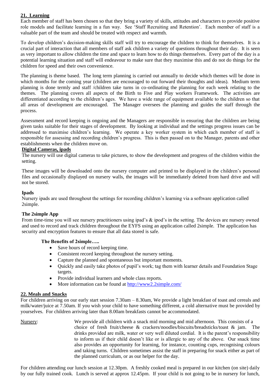#### **21. Learning**

Each member of staff has been chosen so that they bring a variety of skills, attitudes and characters to provide positive role models and facilitate learning in a fun way. See 'Staff Recruiting and Retention'. Each member of staff is a valuable part of the team and should be treated with respect and warmth.

To develop children's decision-making skills staff will try to encourage the children to think for themselves. It is a crucial part of interaction that all members of staff ask children a variety of questions throughout their day. It is seen as very important to allow children the time and space to learn how to do things themselves. Every part of the day is a potential learning situation and staff will endeavour to make sure that they maximise this and do not do things for the children for speed and their own convenience.

The planning is theme based. The long term planning is carried out annually to decide which themes will be done in which months for the coming year (children are encouraged to out forward their thoughts and ideas). Medium term planning is done termly and staff /children take turns in co-ordinating the planning for each week relating to the themes. The planning covers all aspects of the Birth to Five and Play workers Framework. The activities are differentiated according to the children's ages. We have a wide range of equipment available to the children so that all areas of development are encouraged. The Manager oversees the planning and guides the staff through the process.

Assessment and record keeping is ongoing and the Managers are responsible in ensuring that the children are being given tasks suitable for their stages of development. By looking at individual and the settings progress issues can be addressed to maximise children's learning. We operate a key worker system in which each member of staff is responsible for assessing and recording children's progress. This is then passed on to the Manager, parents and other establishments when the children move on.

#### **Digital Cameras, ipads**

The nursery will use digital cameras to take pictures, to show the development and progress of the children within the setting.

These images will be downloaded onto the nursery computer and printed to be displayed in the children's personal files and occasionally displayed on nursery walls, the images will be immediately deleted from hard drive and will not be stored.

#### **Ipads**

Nursery ipads are used throughout the settings for recording children's learning via a software application called 2simple.

#### **The 2simple App**

From time-time you will see nursery practitioners using ipad's & ipod's in the setting. The devices are nursery owned and used to record and track children throughout the EYFS using an application called 2simple. The application has security and encryption features to ensure that all data stored is safe.

#### **The Benefits of 2simple…..**

- Save hours of record keeping time.
- Consistent record keeping throughout the nursery setting.
- Capture the planned and spontaneous but important moments.
- Quickly and easily take photos of pupil's work; tag them with learner details and Foundation Stage targets.
- Provide individual learners and whole class reports.
- More information can be found at<http://www2.2simple.com/>

#### **22. Meals and Snacks**

For children arriving on our early start session 7.30am – 8.30am, We provide a light breakfast of toast and cereals and milk/water/juice at 7.50am. If you wish your child to have something different, a cold alternative must be provided by yourselves. For children arriving later than 8.00am breakfasts cannot be accommodated.

Nursery: We provide all children with a snack mid morning and mid afternoon. This consists of a choice of fresh fruit/cheese & crackers/noodles/biscuits/breadsticks/toast & jam. The drinks provided are milk, water or very well diluted cordial. It is the parent's responsibility to inform us if their child doesn't like or is allergic to any of the above. Our snack time also provides an opportunity for learning, for instance, counting cups, recognising colours and taking turns. Children sometimes assist the staff in preparing for snack either as part of the planned curriculum, or as our helper for the day.

For children attending our lunch session at 12.30pm. A freshly cooked meal is prepared in our kitchen (on site) daily by our fully trained cook. Lunch is served at approx 12.45pm. If your child is not going to be in nursery for lunch,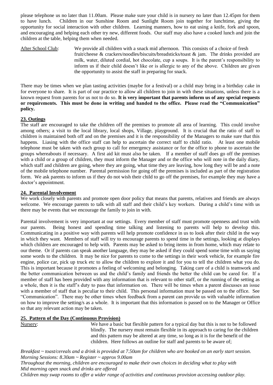please telephone us no later than 11.00am. Please make sure your child is in nursery no later than 12.45pm for them to have lunch. Children in our Sunshine Room and Sunlight Room join together for lunchtime, giving the opportunity for social interaction with other children. Learning manners, how to eat using a knife, fork and spoon, and encouraging and helping each other try new, different foods. Our staff may also have a cooked lunch and join the children at the table, helping them when needed.

After School Club: We provide all children with a snack mid afternoon. This consists of a choice of fresh fruit/cheese & crackers/noodles/biscuits/breadsticks/toast & jam. The drinks provided are milk, water, diluted cordial, hot chocolate, cup a soups. It is the parent's responsibility to inform us if their child doesn't like or is allergic to any of the above. Children are given the opportunity to assist the staff in preparing for snack.

There may be times when we plan tasting activities (maybe for a festival) or a child may bring in a birthday cake in for everyone to share. It is part of our practice to allow all children to join in with these situations, unless there is a known request from parents for us not to do so. **It is very important that parents inform us of any special requests or requirements. This must be done in writing and handed to the office. Please read the "Communication" policy.** 

#### **23. Outings**

The staff are encouraged to take the children off the premises to promote all area of learning. This could involve among others; a visit to the local library, local shops, Village, playground. It is crucial that the ratio of staff to children is maintained both off and on the premises and it is the responsibility of the Managers to make sure that this happens. Liasing with the office staff can help to ascertain the correct staff to child ratio. At least one mobile telephone must be taken with each group to call for emergency assistance or for the office to phone to ascertain the groups whereabouts if necessary. A first aid kit must also be taken. If a member of staff does go off the premises with a child or a group of children, they must inform the Manager and or the office who will note in the daily diary, which staff and children are going, where they are going, what time they are leaving, how long they will be and a note of the mobile telephone number. Parental permission for going off the premises is included as part of the registration form. We ask parents to inform us if they do not wish their child to go off the premises, for example they may have a doctor's appointment.

#### **24. Parental Involvement**

We work closely with parents and promote open door policy that means that parents, relatives and friends are always welcome. We encourage parents to talk with all staff and their child's key workers. During a child's time with us there may be events that we encourage the family to join in with.

Parental involvement is very important at our settings. Every member of staff must promote openness and trust with our parents. Being honest and spending time talking and listening to parents will help to develop this. Communicating in a positive way with parents will help promote confidence in us to look after their child in the way in which they want. Members of staff will try to encourage parents to spend time in the settings, looking at displays which children are encouraged to help with. Parents may be asked to bring items in from home, which may relate to our theme. Or if parents can speak another language, they may be asked if they could spend some time with us saying some words to the children. It may be nice for parents to come to the settings in their work vehicle, for example fire engine, police car, pick up truck etc to allow the children to explore it and for you to tell the children what you do. This is important because it promotes a feeling of welcoming and belonging. Taking care of a child is teamwork and the better communication between us and the child's family and friends the better the child can be cared for. If a member of staff has been provided with any information that is relevant to other staff, or the running of the setting as a whole, then it is the staff's duty to pass that information on. There will be times when a parent discusses an issue with a member of staff that is peculiar to their child. This personal information must be passed on to the office. See "Communication". There may be other times when feedback from a parent can provide us with valuable information on how to improve the setting/s as a whole. It is important that this information is passed on to the Manager or Office so that any relevant action may be taken.

#### **25. Pattern of the Day (Continuous Provision)**

Nursery: We have a basic but flexible pattern for a typical day but this is not to be followed blindly. The nursery must remain flexible in its approach to caring for the children and this pattern may be altered at any time, so long as it is for the benefit of the children. Here follows an outline for staff and parents to be aware of;

*Breakfast ~ toast/cereals and a drink is provided at 7.50am for children who are booked on an early start session. Morning Sessions: 8.30am ~ Register ~ approx 9.00am*

*Throughout the morning, children are encouraged to make their own choices in deciding what to play with Mid morning open snack and drinks are offered* 

*Children may swap rooms to offer a wider range of activities and continuous provision accessing outdoor play.*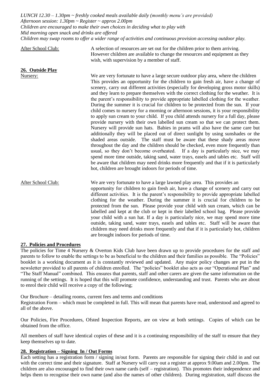*LUNCH 12.30 – 1.30pm ~ freshly cooked meals available daily (monthly menu's are provided) Afternoon session: 1.30pm ~ Register ~ approx 2.00pm Children are encouraged to make their own choices in deciding what to play with Mid morning open snack and drinks are offered Children may swap rooms to offer a wider range of activities and continuous provision accessing outdoor play.*

After School Club: A selection of resources are set out for the children prior to them arriving. However children are available to change the resources and equipment as they wish, with supervision by a member of staff.

Nursery: We are very fortunate to have a large secure outdoor play area, where the children This provides an opportunity for the children to gain fresh air, have a change of scenery, carry out different activities (especially for developing gross motor skills) and they learn to prepare themselves with the correct clothing for the weather. It is the parent's responsibility to provide appropriate labelled clothing for the weather. During the summer it is crucial for children to be protected from the sun. If your child comes to nursery for a morning or afternoon sessions, it is your responsibility to apply sun cream to your child. If you child attends nursery for a full day, please provide nursery with their own labelled sun cream so that we can protect them. Nursery will provide sun hats. Babies in prams will also have the same care but additionally they will be placed out of direct sunlight by using sunshades or the shaded areas outside. The staff must be aware that these shady areas move throughout the day and the children should be checked, even more frequently than usual, so they don't become overheated. If a day is particularly nice, we may spend more time outside, taking sand, water trays, easels and tables etc. Staff will be aware that children may need drinks more frequently and that if it is particularly hot, children are brought indoors for periods of time.

After School Club: We are very fortunate to have a large lawned play area. This provides an opportunity for children to gain fresh air, have a change of scenery and carry out different activities. It is the parent's responsibility to provide appropriate labelled clothing for the weather. During the summer it is crucial for children to be protected from the sun. Please provide your child with sun cream, which can be labelled and kept at the club or kept in their labelled school bag. Please provide your child with a sun hat. If a day is particularly nice, we may spend more time outside, taking sand, water trays, easels and tables etc. Staff will be aware that children may need drinks more frequently and that if it is particularly hot, children are brought indoors for periods of time.

#### **27. Policies and Procedures**

**26. Outside Play**

The policies for Time 4 Nursery & Overton Kids Club have been drawn up to provide procedures for the staff and parents to follow to enable the settings to be as beneficial to the children and their families as possible. The "Policies" booklet is a working document as it is constantly reviewed and updated. Any major policy changes are put in the newsletter provided to all parents of children enrolled. The "policies" booklet also acts as our "Operational Plan" and "The Staff Manual" combined. This ensures that parents, staff and other carers are given the same information on the running of the settings. It is hoped that this will promote confidence, understanding and trust. Parents who are about to enrol their child will receive a copy of the following;

Our Brochure – detailing rooms, current fees and terms and conditions

Registration Form – which must be completed in full. This will mean that parents have read, understood and agreed to all of the above.

Our Policies, Fire Procedures, Ofsted Inspection Reports, are on view at both settings. Copies of which can be obtained from the office.

All members of staff have identical copies of these and it is a continuing responsibility of the staff to ensure that they keep themselves up to date.

#### **28. Registration – Signing In / Out Forms**

Each setting has a registration form / signing in/out form. Parents are responsible for signing their child in and out with the correct time and their signature. Staff at Nursery will carry out a register at approx 9.00am and 2.00pm. The children are also encouraged to find their own name cards (self – registration). This promotes their independence and helps them to recognise their own name (and also the names of other children). During registration, staff discuss the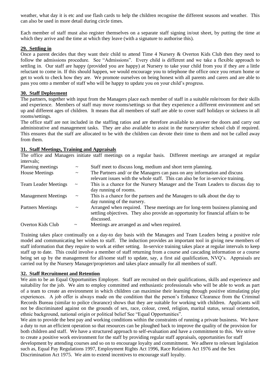weather, what day it is etc and use flash cards to help the children recognise the different seasons and weather. This can also be used in more detail during circle times.

Each member of staff must also register themselves on a separate staff signing in/out sheet, by putting the time at which they arrive and the time at which they leave (with a signature to authorise this).

#### **29. Settling in**

Once a parent decides that they want their child to attend Time 4 Nursery & Overton Kids Club then they need to follow the admissions procedure. See "Admissions". Every child is different and we take a flexible approach to settling in. Our staff are happy (provided you are happy) at Nursery to take your child from you if they are a little reluctant to come in. If this should happen, we would encourage you to telephone the office once you return home or get to work to check how they are. We promote ourselves on being honest with all parents and carers and are able to pass you onto a member of staff who will be happy to update you on your child's progress.

#### **30. Staff Deployment**

The partners, together with input from the Managers place each member of staff in a suitable role/room for their skills and experience. Members of staff may move rooms/settings so that they experience a different environment and set up and different ages of children. It means that all members of staff are able to cover staff holidays or sickness in all rooms/settings.

The office staff are not included in the staffing ratios and are therefore available to answer the doors and carry out administrative and management tasks. They are also available to assist in the nursery/after school club if required. This ensures that the staff are allocated to be with the children can devote their time to them and not be called away from them.

#### **31. Staff Meetings, Training and Appraisals**

The office and Managers initiate staff meetings on a regular basis. Different meetings are arranged at regular intervals;

| Planning meetings           | $\tilde{}$            | Staff meet to discuss long, medium and short term planning.                       |
|-----------------------------|-----------------------|-----------------------------------------------------------------------------------|
| House Meetings              | $\tilde{}$            | The Partners and/ or the Managers can pass on any information and discuss         |
|                             |                       | relevant issues with the whole staff. This can also be for in-service training.   |
| <b>Team Leader Meetings</b> | $\tilde{}$            | This is a chance for the Nursery Manager and the Team Leaders to discuss day to   |
|                             |                       | day running of rooms.                                                             |
| <b>Management Meetings</b>  | $\tilde{}$            | This is a chance for the partners and the Managers to talk about the day to       |
|                             |                       | day running of the nursery.                                                       |
| <b>Partners Meetings</b>    | $\thicksim$           | Arranged when required. These meetings are for long-term business planning and    |
|                             |                       | settling objectives. They also provide an opportunity for financial affairs to be |
|                             |                       | discussed.                                                                        |
| Overton Kids Club           | $\tilde{\phantom{a}}$ | Meetings are arranged as and when required.                                       |
|                             |                       |                                                                                   |

Training takes place continually on a day-to day basis with the Managers and Team Leaders being a positive role model and communicating her wishes to staff. The induction provides an important tool in giving new members of staff information that they require to work at either setting. In-service training takes place at regular intervals to keep staff up to date. This could involve a member of staff returning from a course and cascading information or a course being set up by the management for all/some staff to update, say, a first aid qualification, NVQ's. Appraisals are carried out by the Nursery Manager/proprietors and takes place annually for all members of staff.

#### **32. Staff Recruitment and Retention**

We aim to be an Equal Opportunities Employer. Staff are recruited on their qualifications, skills and experience and suitability for the job. We aim to employ committed and enthusiastic professionals who will be able to work as part of a team to create an environment in which children can maximise their learning through positive stimulating play experiences. A job offer is always made on the condition that the person's Enhance Clearance from the Criminal Records Bureau (similar to police clearance) shows that they are suitable for working with children. Applicants will not be discriminated against on the grounds of sex, race, colour, creed, religion, marital status, sexual orientation, ethnic background, national origin or political belief See "Equal Opportunities".

We aim to provide the best pay and working conditions within the constraints of running a private business. We have a duty to run an efficient operation so that resources can be ploughed back to improve the quality of the provision for both children and staff. We have a structured approach to self-evaluation and have a commitment to this. We strive to create a positive work environment for the staff by providing regular staff appraisals, opportunities for staff development by attending courses and so on to encourage loyalty and commitment. We adhere to relevant legislation such as, Equal Pay Regulations 1997, Employment Rights Act 1996, Race Relations Act 1976 and the Sex Discrimination Act 1975. We aim to extend incentives to encourage staff loyalty.